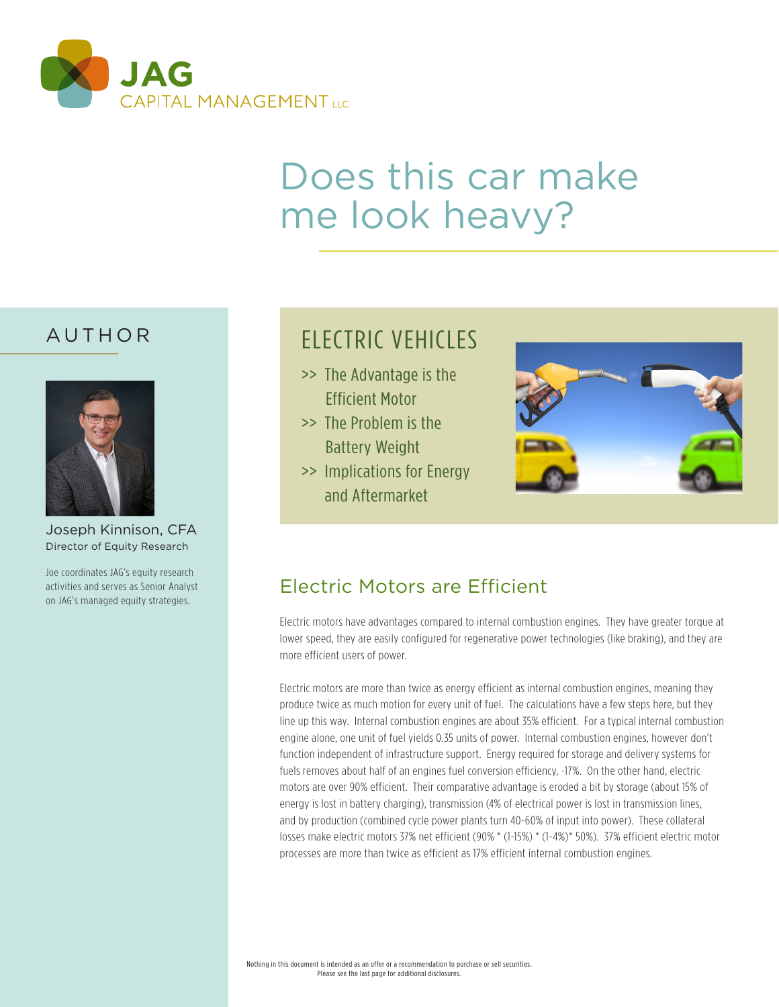

# Does this car make me look heavy?

#### AUTHOR



Joseph Kinnison, CFA Director of Equity Research

Joe coordinates JAG's equity research activities and serves as Senior Analyst on JAG's managed equity strategies.

# ELECTRIC VEHICLES

- >> The Advantage is the Efficient Motor
- >> The Problem is the Battery Weight
- >> Implications for Energy and Aftermarket



### Electric Motors are Efficient

Electric motors have advantages compared to internal combustion engines. They have greater torque at lower speed, they are easily configured for regenerative power technologies (like braking), and they are more efficient users of power.

Electric motors are more than twice as energy efficient as internal combustion engines, meaning they produce twice as much motion for every unit of fuel. The calculations have a few steps here, but they line up this way. Internal combustion engines are about 35% efficient. For a typical internal combustion engine alone, one unit of fuel yields 0.35 units of power. Internal combustion engines, however don't function independent of infrastructure support. Energy required for storage and delivery systems for fuels removes about half of an engines fuel conversion efficiency, -17%. On the other hand, electric motors are over 90% efficient. Their comparative advantage is eroded a bit by storage (about 15% of energy is lost in battery charging), transmission (4% of electrical power is lost in transmission lines, and by production (combined cycle power plants turn 40-60% of input into power). These collateral losses make electric motors 37% net efficient (90% \* (1-15%) \* (1-4%)\* 50%). 37% efficient electric motor processes are more than twice as efficient as 17% efficient internal combustion engines.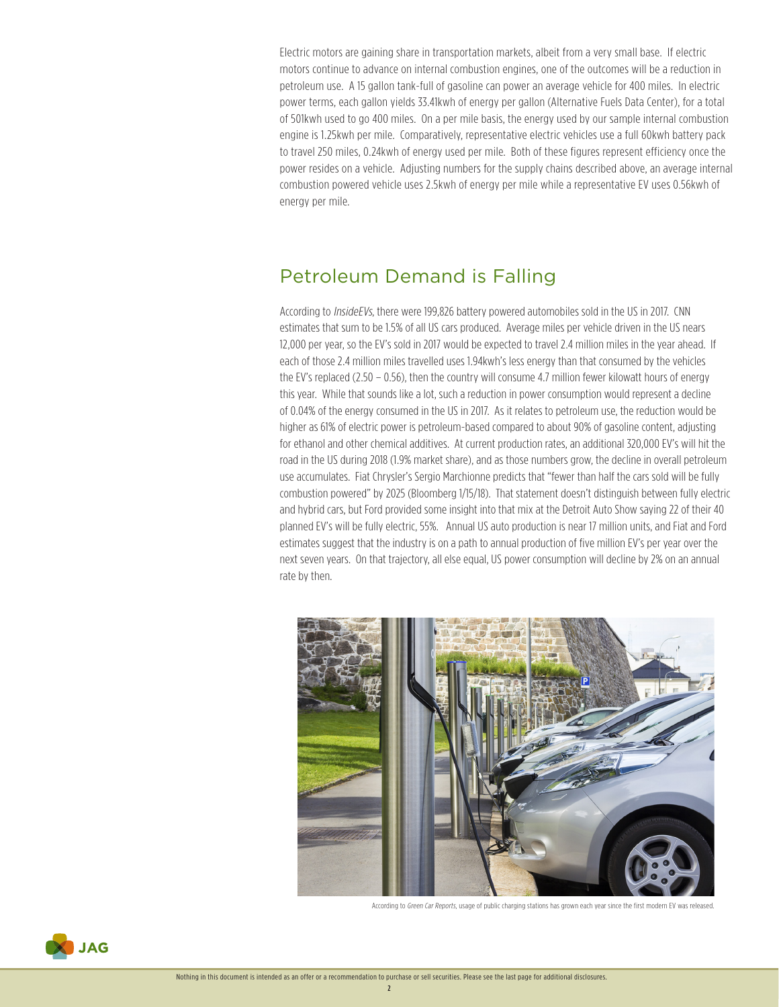Electric motors are gaining share in transportation markets, albeit from a very small base. If electric motors continue to advance on internal combustion engines, one of the outcomes will be a reduction in petroleum use. A 15 gallon tank-full of gasoline can power an average vehicle for 400 miles. In electric power terms, each gallon yields 33.41kwh of energy per gallon (Alternative Fuels Data Center), for a total of 501kwh used to go 400 miles. On a per mile basis, the energy used by our sample internal combustion engine is 1.25kwh per mile. Comparatively, representative electric vehicles use a full 60kwh battery pack to travel 250 miles, 0.24kwh of energy used per mile. Both of these figures represent efficiency once the power resides on a vehicle. Adjusting numbers for the supply chains described above, an average internal combustion powered vehicle uses 2.5kwh of energy per mile while a representative EV uses 0.56kwh of energy per mile.

#### Petroleum Demand is Falling

According to *InsideEVs*, there were 199,826 battery powered automobiles sold in the US in 2017. CNN estimates that sum to be 1.5% of all US cars produced. Average miles per vehicle driven in the US nears 12,000 per year, so the EV's sold in 2017 would be expected to travel 2.4 million miles in the year ahead. If each of those 2.4 million miles travelled uses 1.94kwh's less energy than that consumed by the vehicles the EV's replaced (2.50 – 0.56), then the country will consume 4.7 million fewer kilowatt hours of energy this year. While that sounds like a lot, such a reduction in power consumption would represent a decline of 0.04% of the energy consumed in the US in 2017. As it relates to petroleum use, the reduction would be higher as 61% of electric power is petroleum-based compared to about 90% of gasoline content, adjusting for ethanol and other chemical additives. At current production rates, an additional 320,000 EV's will hit the road in the US during 2018 (1.9% market share), and as those numbers grow, the decline in overall petroleum use accumulates. Fiat Chrysler's Sergio Marchionne predicts that "fewer than half the cars sold will be fully combustion powered" by 2025 (Bloomberg 1/15/18). That statement doesn't distinguish between fully electric and hybrid cars, but Ford provided some insight into that mix at the Detroit Auto Show saying 22 of their 40 planned EV's will be fully electric, 55%. Annual US auto production is near 17 million units, and Fiat and Ford estimates suggest that the industry is on a path to annual production of five million EV's per year over the next seven years. On that trajectory, all else equal, US power consumption will decline by 2% on an annual rate by then.



According to Green Car Reports, usage of public charging stations has grown each year since the first modern EV was released.

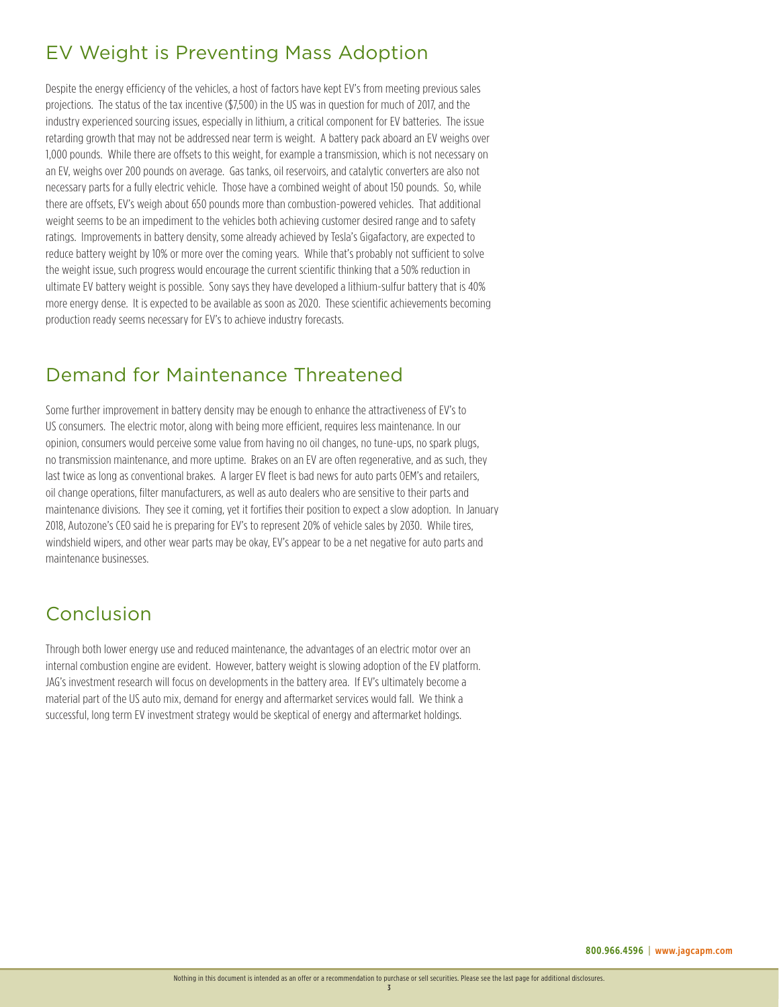# EV Weight is Preventing Mass Adoption

Despite the energy efficiency of the vehicles, a host of factors have kept EV's from meeting previous sales projections. The status of the tax incentive (\$7,500) in the US was in question for much of 2017, and the industry experienced sourcing issues, especially in lithium, a critical component for EV batteries. The issue retarding growth that may not be addressed near term is weight. A battery pack aboard an EV weighs over 1,000 pounds. While there are offsets to this weight, for example a transmission, which is not necessary on an EV, weighs over 200 pounds on average. Gas tanks, oil reservoirs, and catalytic converters are also not necessary parts for a fully electric vehicle. Those have a combined weight of about 150 pounds. So, while there are offsets, EV's weigh about 650 pounds more than combustion-powered vehicles. That additional weight seems to be an impediment to the vehicles both achieving customer desired range and to safety ratings. Improvements in battery density, some already achieved by Tesla's Gigafactory, are expected to reduce battery weight by 10% or more over the coming years. While that's probably not sufficient to solve the weight issue, such progress would encourage the current scientific thinking that a 50% reduction in ultimate EV battery weight is possible. Sony says they have developed a lithium-sulfur battery that is 40% more energy dense. It is expected to be available as soon as 2020. These scientific achievements becoming production ready seems necessary for EV's to achieve industry forecasts.

#### Demand for Maintenance Threatened

Some further improvement in battery density may be enough to enhance the attractiveness of EV's to US consumers. The electric motor, along with being more efficient, requires less maintenance. In our opinion, consumers would perceive some value from having no oil changes, no tune-ups, no spark plugs, no transmission maintenance, and more uptime. Brakes on an EV are often regenerative, and as such, they last twice as long as conventional brakes. A larger EV fleet is bad news for auto parts OEM's and retailers, oil change operations, filter manufacturers, as well as auto dealers who are sensitive to their parts and maintenance divisions. They see it coming, yet it fortifies their position to expect a slow adoption. In January 2018, Autozone's CEO said he is preparing for EV's to represent 20% of vehicle sales by 2030. While tires, windshield wipers, and other wear parts may be okay, EV's appear to be a net negative for auto parts and maintenance businesses.

# Conclusion

Through both lower energy use and reduced maintenance, the advantages of an electric motor over an internal combustion engine are evident. However, battery weight is slowing adoption of the EV platform. JAG's investment research will focus on developments in the battery area. If EV's ultimately become a material part of the US auto mix, demand for energy and aftermarket services would fall. We think a successful, long term EV investment strategy would be skeptical of energy and aftermarket holdings.